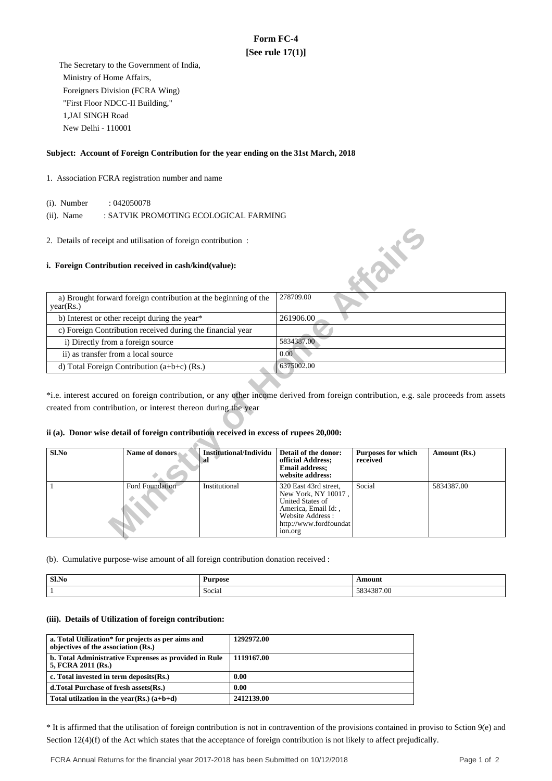# **Form FC-4 [See rule 17(1)]**

 The Secretary to the Government of India, Ministry of Home Affairs, Foreigners Division (FCRA Wing) "First Floor NDCC-II Building," 1,JAI SINGH Road New Delhi - 110001

# **Subject: Account of Foreign Contribution for the year ending on the 31st March, 2018**

### 1. Association FCRA registration number and name

(i). Number : 042050078

(ii). Name : SATVIK PROMOTING ECOLOGICAL FARMING

## **i. Foreign Contribution received in cash/kind(value):**

| a) Brought forward foreign contribution at the beginning of the<br>year(Rs.) | 278709.00  |
|------------------------------------------------------------------------------|------------|
| b) Interest or other receipt during the year*                                | 261906.00  |
| c) Foreign Contribution received during the financial year                   |            |
| i) Directly from a foreign source                                            | 5834387.00 |
| ii) as transfer from a local source                                          | 0.00       |
| d) Total Foreign Contribution $(a+b+c)$ (Rs.)                                | 6375002.00 |

# **ii (a). Donor wise detail of foreign contribution received in excess of rupees 20,000:**

| 2. Details of receipt and utilisation of foreign contribution:                                                                                           |                                                                 |                                     |                                                                                                                                                         | <b>FORE</b>                           |                                                                                                                                       |
|----------------------------------------------------------------------------------------------------------------------------------------------------------|-----------------------------------------------------------------|-------------------------------------|---------------------------------------------------------------------------------------------------------------------------------------------------------|---------------------------------------|---------------------------------------------------------------------------------------------------------------------------------------|
| i. Foreign Contribution received in cash/kind(value):                                                                                                    |                                                                 |                                     |                                                                                                                                                         |                                       |                                                                                                                                       |
| year(Rs.)                                                                                                                                                | a) Brought forward foreign contribution at the beginning of the |                                     | 278709.00                                                                                                                                               |                                       |                                                                                                                                       |
|                                                                                                                                                          | b) Interest or other receipt during the year*                   |                                     | 261906.00                                                                                                                                               |                                       |                                                                                                                                       |
|                                                                                                                                                          | c) Foreign Contribution received during the financial year      |                                     |                                                                                                                                                         |                                       |                                                                                                                                       |
| i) Directly from a foreign source                                                                                                                        |                                                                 |                                     | 5834387.00                                                                                                                                              |                                       |                                                                                                                                       |
| ii) as transfer from a local source                                                                                                                      |                                                                 |                                     | 0.00                                                                                                                                                    |                                       |                                                                                                                                       |
|                                                                                                                                                          | d) Total Foreign Contribution $(a+b+c)$ (Rs.)                   |                                     | 6375002.00                                                                                                                                              |                                       |                                                                                                                                       |
| created from contribution, or interest thereon during the year<br>ii (a). Donor wise detail of foreign contribution received in excess of rupees 20,000: |                                                                 |                                     |                                                                                                                                                         |                                       | *i.e. interest accured on foreign contribution, or any other income derived from foreign contribution, e.g. sale proceeds from assets |
| Sl.No                                                                                                                                                    | <b>Name of donors</b>                                           | <b>Institutional/Individu</b><br>al | Detail of the donor:<br>official Address;<br><b>Email address:</b><br>website address:                                                                  | <b>Purposes for which</b><br>received | Amount (Rs.)                                                                                                                          |
| 1                                                                                                                                                        | <b>Ford Foundation</b>                                          | Institutional                       | 320 East 43rd street,<br>New York, NY 10017,<br><b>United States of</b><br>America, Email Id:,<br>Website Address:<br>http://www.fordfoundat<br>ion.org | Social                                | 5834387.00                                                                                                                            |

(b). Cumulative purpose-wise amount of all foreign contribution donation received :

| Sl.No<br>. | <b>Durnage</b>     | moun)                  |
|------------|--------------------|------------------------|
|            | Social<br>$\cdots$ | 7.00<br>$\overline{1}$ |

#### **(iii). Details of Utilization of foreign contribution:**

| a. Total Utilization* for projects as per aims and<br>objectives of the association (Rs.) | 1292972.00 |
|-------------------------------------------------------------------------------------------|------------|
| b. Total Administrative Exprenses as provided in Rule<br>5, FCRA 2011 (Rs.)               | 1119167.00 |
| c. Total invested in term deposits $(Rs.)$                                                | 0.00       |
| d. Total Purchase of fresh assets (Rs.)                                                   | 0.00       |
| Total utilization in the year(Rs.) $(a+b+d)$                                              | 2412139.00 |

\* It is affirmed that the utilisation of foreign contribution is not in contravention of the provisions contained in proviso to Sction 9(e) and Section 12(4)(f) of the Act which states that the acceptance of foreign contribution is not likely to affect prejudically.